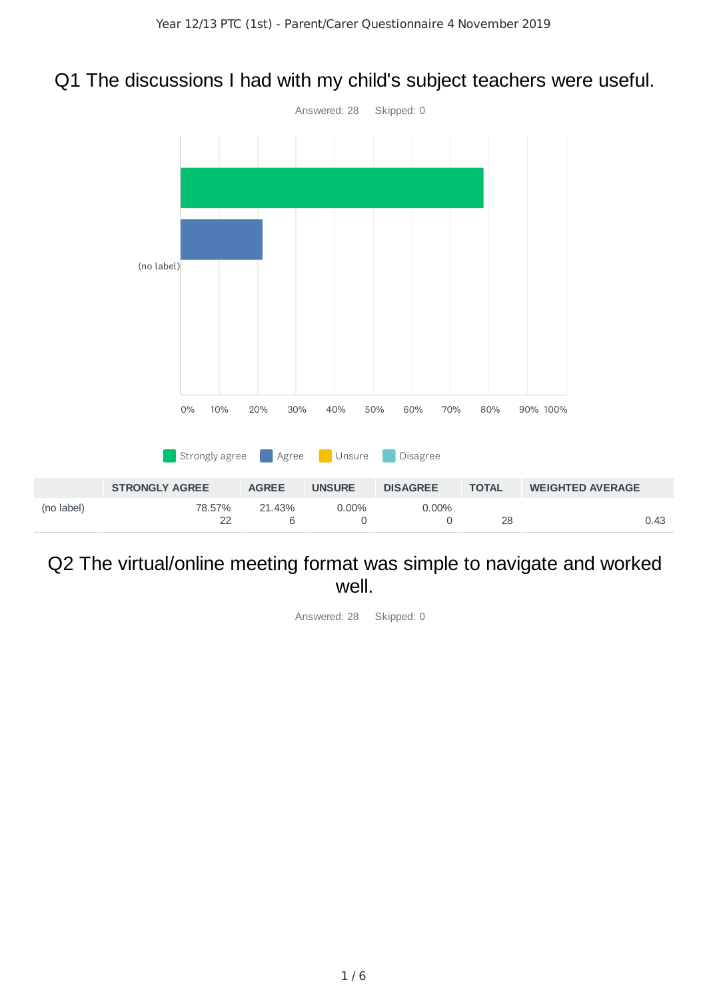# Q1 The discussions I had with my child's subject teachers were useful.



### Q2 The virtual/online meeting format was simple to navigate and worked well.

Answered: 28 Skipped: 0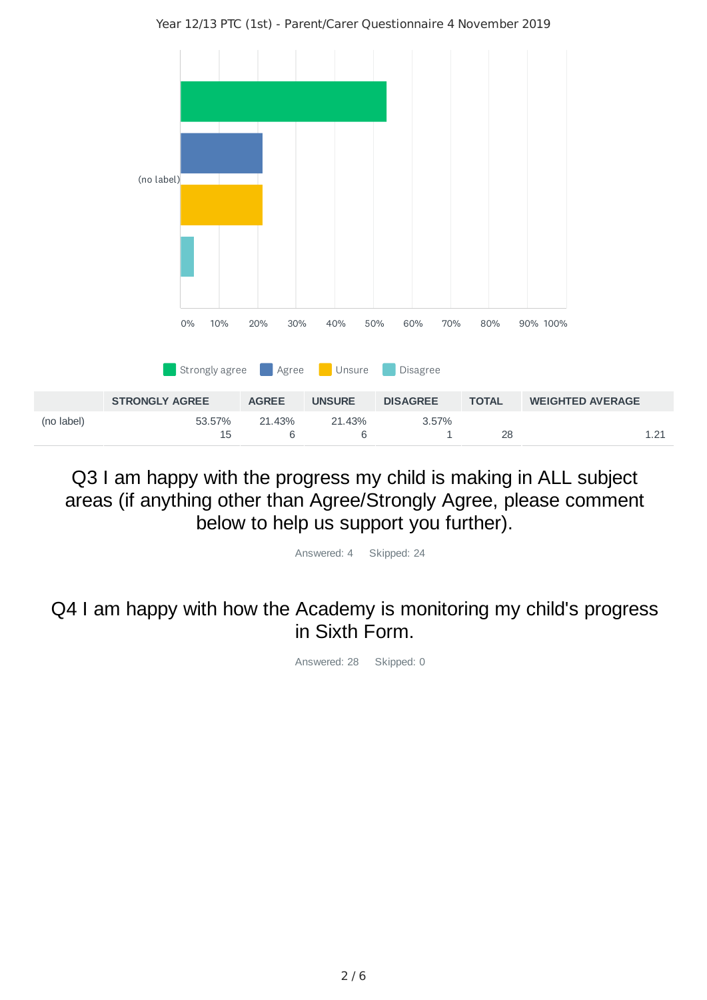

#### Year 12/13 PTC (1st) - Parent/Carer Questionnaire 4 November 2019

Q3 I am happy with the progress my child is making in ALL subject areas (if anything other than Agree/Strongly Agree, please comment below to help us support you further).

Answered: 4 Skipped: 24

Q4 I am happy with how the Academy is monitoring my child's progress in Sixth Form.

Answered: 28 Skipped: 0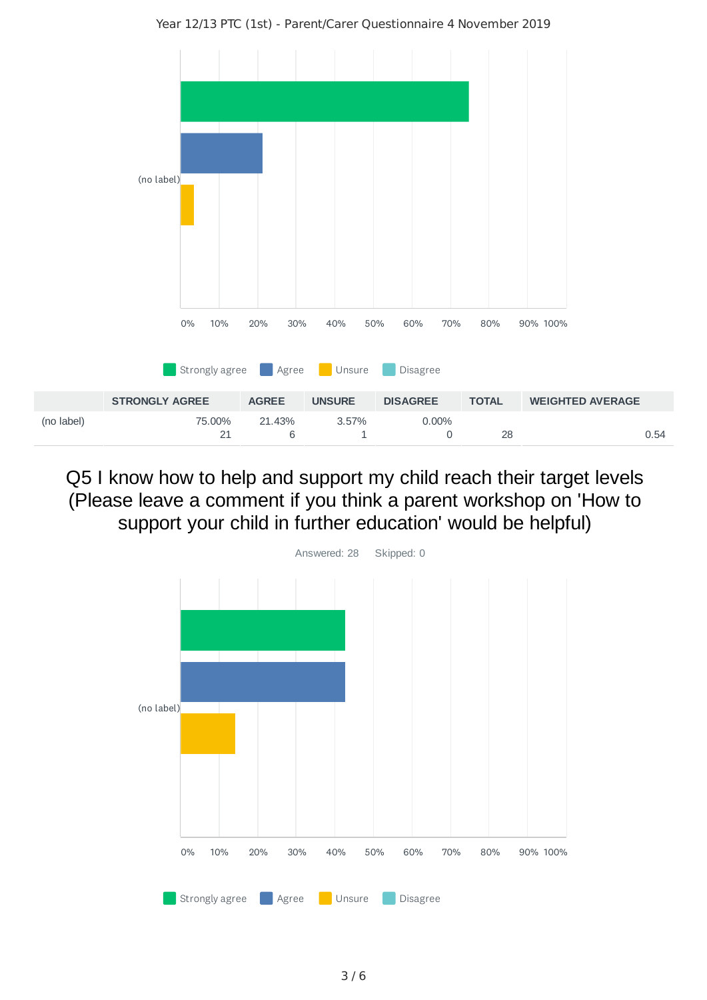Year 12/13 PTC (1st) - Parent/Carer Questionnaire 4 November 2019



## Q5 I know how to help and support my child reach their target levels (Please leave a comment if you think a parent workshop on 'How to support your child in further education' would be helpful)

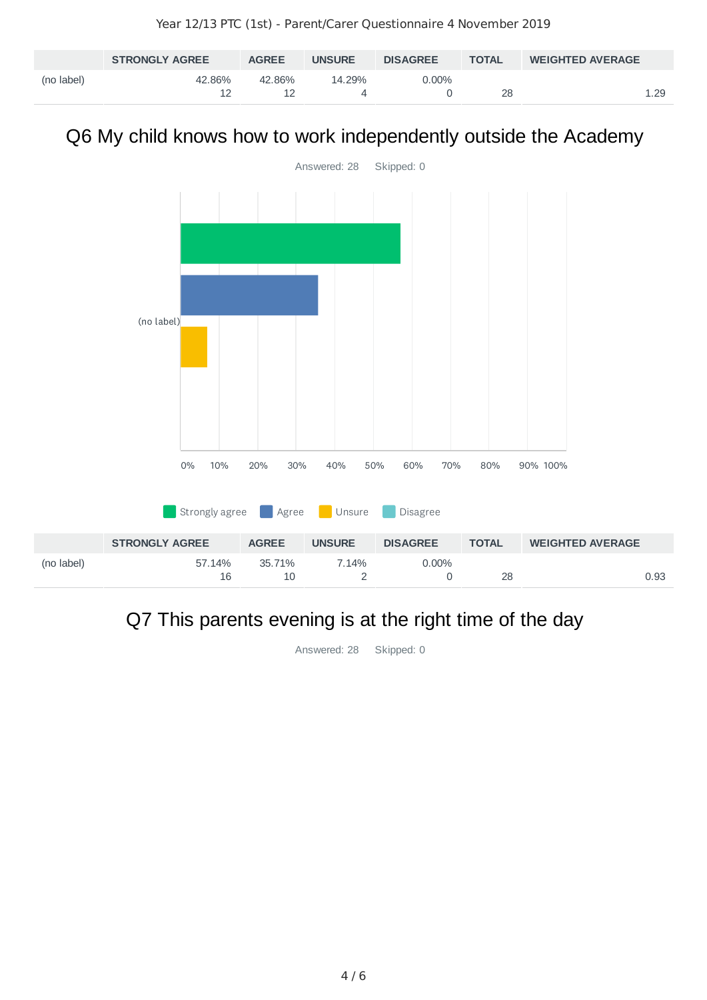|            | <b>STRONGLY AGREE</b> | <b>AGREE</b> | <b>UNSURE</b> | <b>DISAGREE</b> | <b>TOTAL</b> | <b>WEIGHTED AVERAGE</b> |
|------------|-----------------------|--------------|---------------|-----------------|--------------|-------------------------|
| (no label) | 42.86%                | $42.86\%$    | 14.29%        | 0.00%           | 28           | ⊥.29                    |

# Q6 My child knows how to work independently outside the Academy



# Q7 This parents evening is at the right time of the day

Answered: 28 Skipped: 0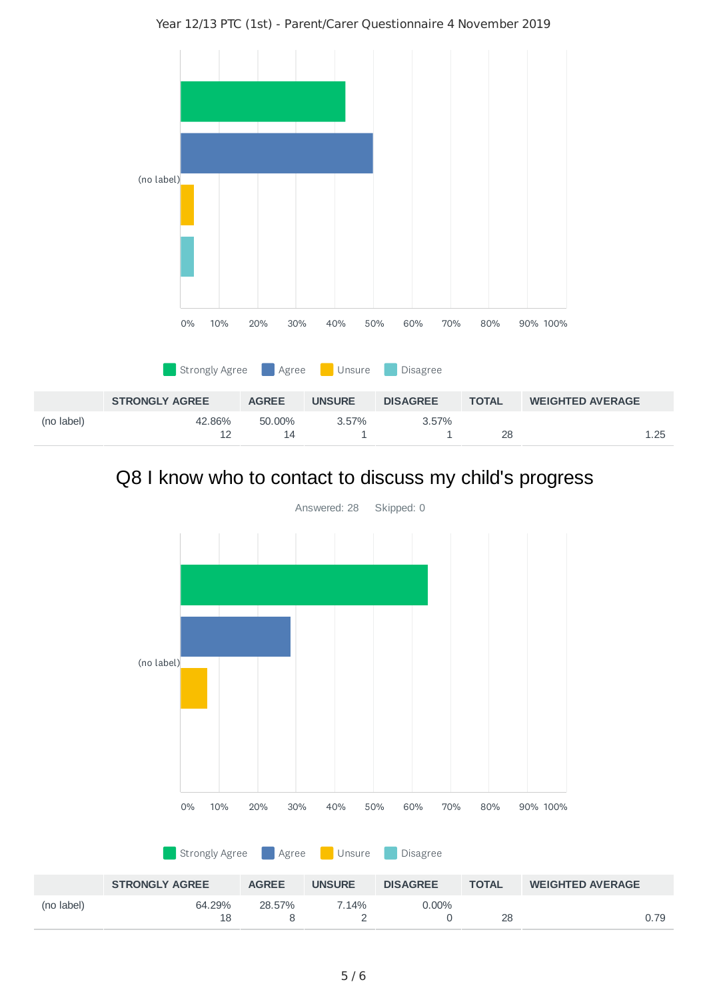Year 12/13 PTC (1st) - Parent/Carer Questionnaire 4 November 2019



# Q8 I know who to contact to discuss my child's progress